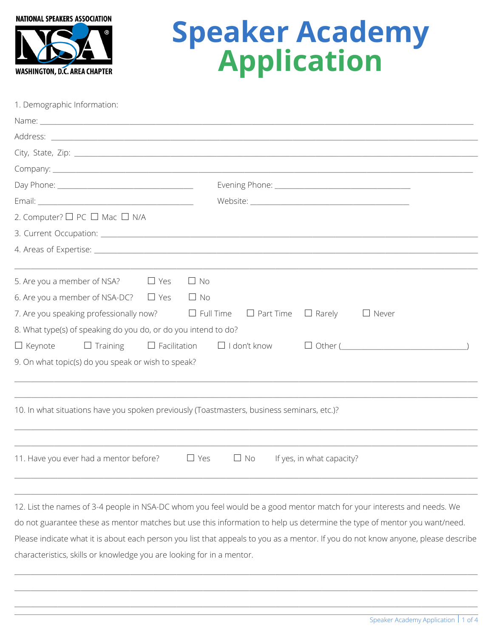

# **Speaker Academy**<br>**Application**

| 1. Demographic Information |  |  |  |  |  |
|----------------------------|--|--|--|--|--|
|----------------------------|--|--|--|--|--|

| 2. Computer? □ PC □ Mac □ N/A                                                              |                                                                                                                          |  |  |
|--------------------------------------------------------------------------------------------|--------------------------------------------------------------------------------------------------------------------------|--|--|
|                                                                                            |                                                                                                                          |  |  |
|                                                                                            |                                                                                                                          |  |  |
|                                                                                            |                                                                                                                          |  |  |
| 5. Are you a member of NSA? $\Box$ Yes<br>$\Box$ No                                        |                                                                                                                          |  |  |
| 6. Are you a member of NSA-DC? $\Box$ Yes $\Box$ No                                        |                                                                                                                          |  |  |
| 7. Are you speaking professionally now? $\Box$ Full Time $\Box$ Part Time $\Box$ Rarely    | $\Box$ Never                                                                                                             |  |  |
| 8. What type(s) of speaking do you do, or do you intend to do?                             |                                                                                                                          |  |  |
| $\Box$ Keynote $\Box$ Training $\Box$ Facilitation $\Box$ I don't know                     | $\Box$ Other (                                                                                                           |  |  |
| 9. On what topic(s) do you speak or wish to speak?                                         |                                                                                                                          |  |  |
|                                                                                            |                                                                                                                          |  |  |
|                                                                                            |                                                                                                                          |  |  |
| 10. In what situations have you spoken previously (Toastmasters, business seminars, etc.)? |                                                                                                                          |  |  |
|                                                                                            |                                                                                                                          |  |  |
|                                                                                            |                                                                                                                          |  |  |
| 11. Have you ever had a mentor before? $\Box$ Yes                                          | $\Box$ No<br>If yes, in what capacity?                                                                                   |  |  |
|                                                                                            |                                                                                                                          |  |  |
|                                                                                            |                                                                                                                          |  |  |
|                                                                                            | 12. List the names of 3-4 people in NSA-DC whom you feel would be a good mentor match for your interests and needs. We   |  |  |
|                                                                                            | do not guarantee these as mentor matches but use this information to help us determine the type of mentor you want/need. |  |  |

Please indicate what it is about each person you list that appeals to you as a mentor. If you do not know anyone, please describe

characteristics, skills or knowledge you are looking for in a mentor.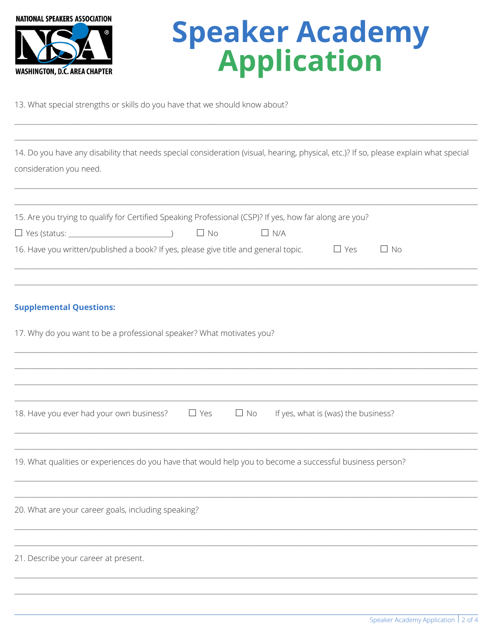

### **Speaker Academy Application**

13. What special strengths or skills do you have that we should know about?

14. Do you have any disability that needs special consideration (visual, hearing, physical, etc.)? If so, please explain what special consideration you need.

| 15. Are you trying to qualify for Certified Speaking Professional (CSP)? If yes, how far along are you?     |
|-------------------------------------------------------------------------------------------------------------|
| $\Box$ No<br>$\Box$ N/A                                                                                     |
| 16. Have you written/published a book? If yes, please give title and general topic. $\Box$ Yes<br>$\Box$ No |
|                                                                                                             |
| <b>Supplemental Questions:</b>                                                                              |
| 17. Why do you want to be a professional speaker? What motivates you?                                       |
|                                                                                                             |
|                                                                                                             |
|                                                                                                             |
| 18. Have you ever had your own business? $\Box$ Yes<br>$\Box$ No<br>If yes, what is (was) the business?     |
|                                                                                                             |
| 19. What qualities or experiences do you have that would help you to become a successful business person?   |
|                                                                                                             |
| 20. What are your career goals, including speaking?                                                         |
|                                                                                                             |
| 21. Describe your career at present.                                                                        |
|                                                                                                             |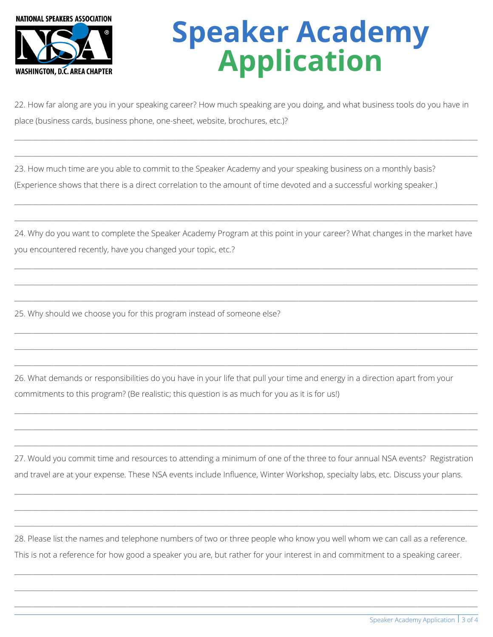

## **Speaker Academy Application**

22. How far along are you in your speaking career? How much speaking are you doing, and what business tools do you have in place (business cards, business phone, one-sheet, website, brochures, etc.)?

 $\ldots$  . The contribution of the contribution of the contribution of the contribution of the contribution of the contribution of the contribution of the contribution of the contribution of the contribution of the contribut

\_\_\_\_\_\_\_\_\_\_\_\_\_\_\_\_\_\_\_\_\_\_\_\_\_\_\_\_\_\_\_\_\_\_\_\_\_\_\_\_\_\_\_\_\_\_\_\_\_\_\_\_\_\_\_\_\_\_\_\_\_\_\_\_\_\_\_\_\_\_\_\_\_\_\_\_\_\_\_\_\_\_\_\_\_\_\_\_\_\_\_\_\_\_\_\_\_\_\_\_\_\_\_\_\_\_\_\_\_\_\_\_\_\_\_\_\_\_\_\_\_\_\_\_\_\_\_\_\_\_\_\_\_\_\_\_\_\_\_\_

\_\_\_\_\_\_\_\_\_\_\_\_\_\_\_\_\_\_\_\_\_\_\_\_\_\_\_\_\_\_\_\_\_\_\_\_\_\_\_\_\_\_\_\_\_\_\_\_\_\_\_\_\_\_\_\_\_\_\_\_\_\_\_\_\_\_\_\_\_\_\_\_\_\_\_\_\_\_\_\_\_\_\_\_\_\_\_\_\_\_\_\_\_\_\_\_\_\_\_\_\_\_\_\_\_\_\_\_\_\_\_\_\_\_\_\_\_\_\_\_\_\_\_\_\_\_\_\_\_\_\_\_\_\_\_\_\_\_\_\_

 $\ldots$  . The contribution of the contribution of the contribution of the contribution of the contribution of the contribution of the contribution of the contribution of the contribution of the contribution of the contribut

23. How much time are you able to commit to the Speaker Academy and your speaking business on a monthly basis? (Experience shows that there is a direct correlation to the amount of time devoted and a successful working speaker.)

24. Why do you want to complete the Speaker Academy Program at this point in your career? What changes in the market have you encountered recently, have you changed your topic, etc.?

 $\ldots$  . The contribution of the contribution of the contribution of the contribution of the contribution of the contribution of the contribution of the contribution of the contribution of the contribution of the contribut

 $\ldots$  . The contribution of the contribution of the contribution of the contribution of the contribution of the contribution of the contribution of the contribution of the contribution of the contribution of the contribut

\_\_\_\_\_\_\_\_\_\_\_\_\_\_\_\_\_\_\_\_\_\_\_\_\_\_\_\_\_\_\_\_\_\_\_\_\_\_\_\_\_\_\_\_\_\_\_\_\_\_\_\_\_\_\_\_\_\_\_\_\_\_\_\_\_\_\_\_\_\_\_\_\_\_\_\_\_\_\_\_\_\_\_\_\_\_\_\_\_\_\_\_\_\_\_\_\_\_\_\_\_\_\_\_\_\_\_\_\_\_\_\_\_\_\_\_\_\_\_\_\_\_\_\_\_\_\_\_\_\_\_\_\_\_\_\_\_\_\_\_

 $\ldots$  . The contribution of the contribution of the contribution of the contribution of the contribution of the contribution of the contribution of the contribution of the contribution of the contribution of the contribut

\_\_\_\_\_\_\_\_\_\_\_\_\_\_\_\_\_\_\_\_\_\_\_\_\_\_\_\_\_\_\_\_\_\_\_\_\_\_\_\_\_\_\_\_\_\_\_\_\_\_\_\_\_\_\_\_\_\_\_\_\_\_\_\_\_\_\_\_\_\_\_\_\_\_\_\_\_\_\_\_\_\_\_\_\_\_\_\_\_\_\_\_\_\_\_\_\_\_\_\_\_\_\_\_\_\_\_\_\_\_\_\_\_\_\_\_\_\_\_\_\_\_\_\_\_\_\_\_\_\_\_\_\_\_\_\_\_\_\_\_

 $\ldots$  . The contribution of the contribution of the contribution of the contribution of the contribution of the contribution of the contribution of the contribution of the contribution of the contribution of the contribut

 $\ldots$  . The contribution of the contribution of the contribution of the contribution of the contribution of the contribution of the contribution of the contribution of the contribution of the contribution of the contribut

 $\ldots$  . The contribution of the contribution of the contribution of the contribution of the contribution of the contribution of the contribution of the contribution of the contribution of the contribution of the contribut

\_\_\_\_\_\_\_\_\_\_\_\_\_\_\_\_\_\_\_\_\_\_\_\_\_\_\_\_\_\_\_\_\_\_\_\_\_\_\_\_\_\_\_\_\_\_\_\_\_\_\_\_\_\_\_\_\_\_\_\_\_\_\_\_\_\_\_\_\_\_\_\_\_\_\_\_\_\_\_\_\_\_\_\_\_\_\_\_\_\_\_\_\_\_\_\_\_\_\_\_\_\_\_\_\_\_\_\_\_\_\_\_\_\_\_\_\_\_\_\_\_\_\_\_\_\_\_\_\_\_\_\_\_\_\_\_\_\_\_\_

25. Why should we choose you for this program instead of someone else?

26. What demands or responsibilities do you have in your life that pull your time and energy in a direction apart from your commitments to this program? (Be realistic; this question is as much for you as it is for us!)

27. Would you commit time and resources to attending a minimum of one of the three to four annual NSA events? Registration and travel are at your expense. These NSA events include Influence, Winter Workshop, specialty labs, etc. Discuss your plans.

\_\_\_\_\_\_\_\_\_\_\_\_\_\_\_\_\_\_\_\_\_\_\_\_\_\_\_\_\_\_\_\_\_\_\_\_\_\_\_\_\_\_\_\_\_\_\_\_\_\_\_\_\_\_\_\_\_\_\_\_\_\_\_\_\_\_\_\_\_\_\_\_\_\_\_\_\_\_\_\_\_\_\_\_\_\_\_\_\_\_\_\_\_\_\_\_\_\_\_\_\_\_\_\_\_\_\_\_\_\_\_\_\_\_\_\_\_\_\_\_\_\_\_\_\_\_\_\_\_\_\_\_\_\_\_\_\_\_\_\_

 $\ldots$  . The contribution of the contribution of the contribution of the contribution of the contribution of the contribution of the contribution of the contribution of the contribution of the contribution of the contribut

 $\ldots$  . The contribution of the contribution of the contribution of the contribution of the contribution of the contribution of the contribution of the contribution of the contribution of the contribution of the contribut

28. Please list the names and telephone numbers of two or three people who know you well whom we can call as a reference. This is not a reference for how good a speaker you are, but rather for your interest in and commitment to a speaking career.

 $\ldots$  . The contribution of the contribution of the contribution of the contribution of the contribution of the contribution of the contribution of the contribution of the contribution of the contribution of the contribut

\_\_\_\_\_\_\_\_\_\_\_\_\_\_\_\_\_\_\_\_\_\_\_\_\_\_\_\_\_\_\_\_\_\_\_\_\_\_\_\_\_\_\_\_\_\_\_\_\_\_\_\_\_\_\_\_\_\_\_\_\_\_\_\_\_\_\_\_\_\_\_\_\_\_\_\_\_\_\_\_\_\_\_\_\_\_\_\_\_\_\_\_\_\_\_\_\_\_\_\_\_\_\_\_\_\_\_\_\_\_\_\_\_\_\_\_\_\_\_\_\_\_\_\_\_\_\_\_\_\_\_\_\_\_\_\_\_\_\_\_

 $\ldots$  . The contribution of the contribution of the contribution of the contribution of the contribution of the contribution of the contribution of the contribution of the contribution of the contribution of the contribut